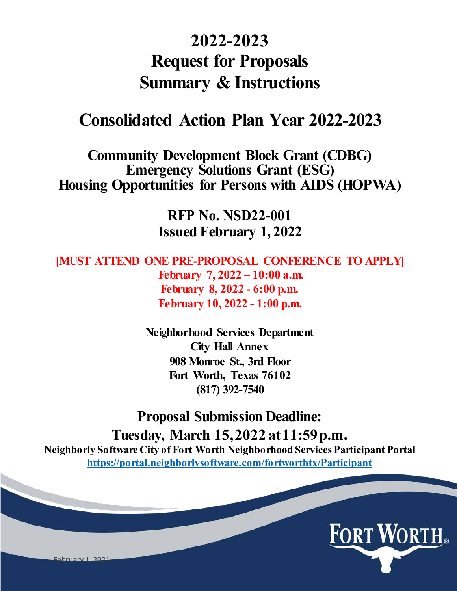# **2022-2023 Request for Proposals Summary & Instructions**

# **Consolidated Action Plan Year 2022-2023**

**Community Development Block Grant (CDBG) Emergency Solutions Grant (ESG) Housing Opportunities for Persons with AIDS (HOPWA)**

> **RFP No. NSD22-001 Issued February 1, 2022**

**[MUST ATTEND ONE PRE-PROPOSAL CONFERENCE TO APPLY] February 7, 2022 – 10:00 a.m. February 8, 2022 - 6:00 p.m. [February](https://fortworthtexas.webex.com/fortworthtexas/onstage/g.php?MTID=e0d753287656a37138c4df123a1abd894) 10, 2022 - 1:00 p.m.**

> **[Neighborhood](https://fortworthtexas.webex.com/fortworthtexas/onstage/g.php?MTID=e13290a9b7e6e97199dd5326a150c1617) Services Department City Hall Annex 908 [Monroe](https://fortworthtexas.webex.com/fortworthtexas/onstage/g.php?MTID=e7e45427f9499271bf48db2c39b12ba3a) St., 3rd Floor Fort Worth, Texas 76102 (817) 392-7540**

**Proposal Submission Deadline: Tuesday, March 15,2022 at11:59p.m. Neighborly Software City of Fort Worth Neighborhood Services Participant Portal https://portal.neighborlysoftware.com/fortworthtx/Participant**

February 1, 2021

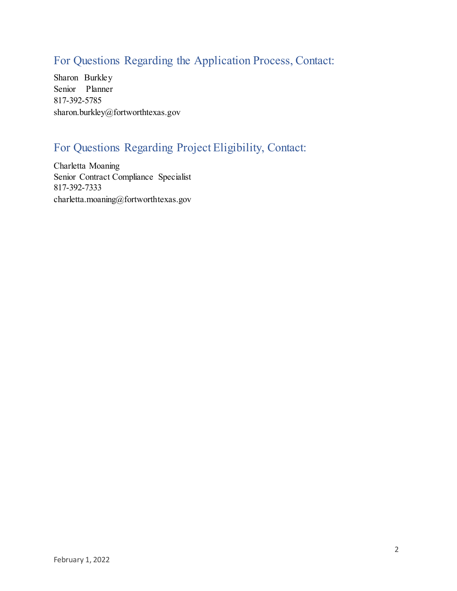# For Questions Regarding the Application Process, Contact:

Sharon Burkley Senior Planner 817-392-5785 [sharon.burkley@fortworthtexas.gov](mailto:sharon.burkley@fortworthtexas.gov)

# For Questions Regarding Project Eligibility, Contact:

Charletta Moaning Senior Contract Compliance Specialist 817-392-7333 [charletta.moaning@fortworthtexas.gov](mailto:charletta.moaning@fortworthtexas.gov)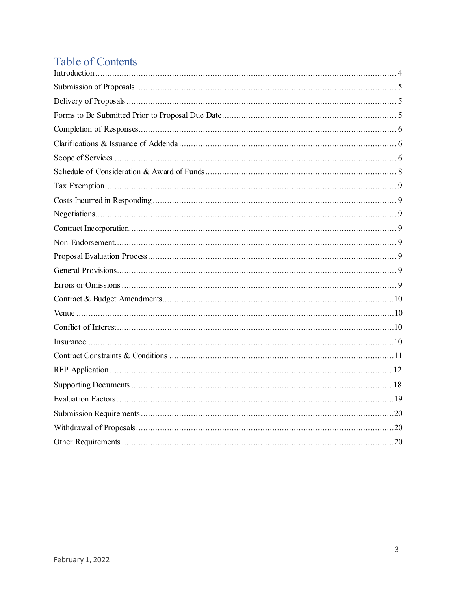# **Table of Contents**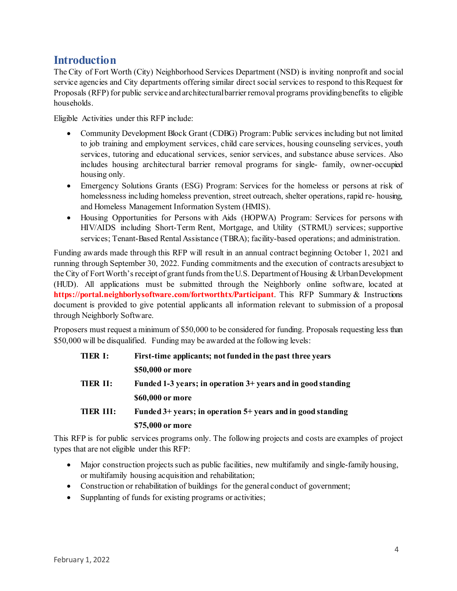### <span id="page-3-0"></span>**Introduction**

The City of Fort Worth (City) Neighborhood Services Department (NSD) is inviting nonprofit and social service agencies and City departments offering similar direct social services to respond to this Request for Proposals (RFP) for public service and architecturalbarrier removal programs providingbenefits to eligible households.

Eligible Activities under this RFP include:

- Community Development Block Grant (CDBG) Program: Public services including but not limited to job training and employment services, child care services, housing counseling services, youth services, tutoring and educational services, senior services, and substance abuse services. Also includes housing architectural barrier removal programs for single- family, owner-occupied housing only.
- Emergency Solutions Grants (ESG) Program: Services for the homeless or persons at risk of homelessness including homeless prevention, street outreach, shelter operations, rapid re- housing, and Homeless Management Information System (HMIS).
- Housing Opportunities for Persons with Aids (HOPWA) Program: Services for persons with HIV/AIDS including Short-Term Rent, Mortgage, and Utility (STRMU) services; supportive services; Tenant-Based Rental Assistance (TBRA); facility-based operations; and administration.

Funding awards made through this RFP will result in an annual contract beginning October 1, 2021 and running through September 30, 2022. Funding commitments and the execution of contracts aresubject to the City of Fort Worth's receipt of grant funds from the U.S. Department of Housing & UrbanDevelopment (HUD). All applications must be submitted through the Neighborly online software, located at **https://portal.neighborlysoftware.com/fortworthtx/Participant**. This RFP Summary & Instructions document is provided to give potential applicants all information relevant to submission of a proposal through Neighborly Software.

Proposers must request a minimum of \$50,000 to be considered for funding. Proposals requesting less than \$50,000 will be disqualified. Funding may be awarded at the following levels:

| <b>TIER I:</b> | First-time applicants; not funded in the past three years       |
|----------------|-----------------------------------------------------------------|
|                | \$50,000 or more                                                |
| TIER II:       | Funded 1-3 years; in operation 3+ years and in good standing    |
|                | \$60,000 or more                                                |
| TIER III:      | Funded $3+$ years; in operation $5+$ years and in good standing |
|                | \$75,000 or more                                                |
|                |                                                                 |

This RFP is for public services programs only. The following projects and costs are examples of project types that are not eligible under this RFP:

- Major construction projects such as public facilities, new multifamily and single-family housing, or multifamily housing acquisition and rehabilitation;
- Construction or rehabilitation of buildings for the general conduct of government;
- Supplanting of funds for existing programs or activities;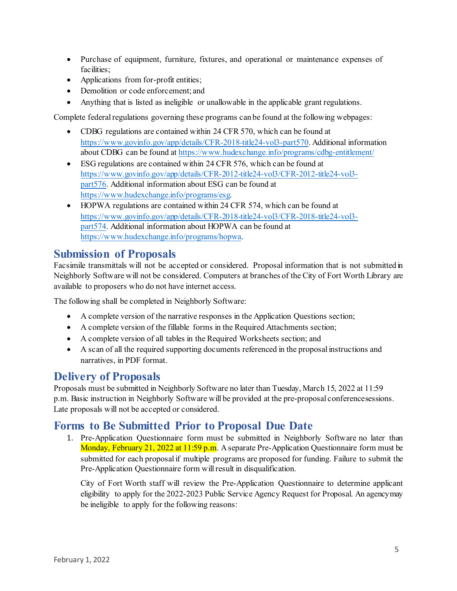- Purchase of equipment, furniture, fixtures, and operational or maintenance expenses of facilities:
- Applications from for-profit entities;
- Demolition or code enforcement; and
- Anything that is listed as ineligible or unallowable in the applicable grant regulations.

Complete federal regulations governing these programs can be found at the following webpages:

- CDBG regulations are contained within 24 CFR 570, which can be found at [https://www.govinfo.gov/app/details/CFR-2018-title24-vol3-part570. A](https://www.govinfo.gov/app/details/CFR-2018-title24-vol3-part570)dditional information about CDBG can be found at <https://www.hudexchange.info/programs/cdbg-entitlement/>
- ESG regulations are contained within 24 CFR 576, which can be found at [https://www.govinfo.gov/app/details/CFR-2012-title24-vol3/CFR-2012-title24-vol3](https://www.govinfo.gov/app/details/CFR-2012-title24-vol3/CFR-2012-title24-vol3-part576) [part576. A](https://www.govinfo.gov/app/details/CFR-2012-title24-vol3/CFR-2012-title24-vol3-part576)dditional information about ESG can be found at [https://www.hudexchange.info/programs/esg.](https://www.hudexchange.info/programs/esg)
- HOPWA regulations are contained within 24 CFR 574, which can be found at [https://www.govinfo.gov/app/details/CFR-2018-title24-vol3/CFR-2018-title24-vol3](https://www.govinfo.gov/app/details/CFR-2018-title24-vol3/CFR-2018-title24-vol3-part574) [part574. A](https://www.govinfo.gov/app/details/CFR-2018-title24-vol3/CFR-2018-title24-vol3-part574)dditional information about HOPWA can be found at [https://www.hudexchange.info/programs/hopwa.](https://www.hudexchange.info/programs/hopwa)

#### <span id="page-4-0"></span>**Submission of Proposals**

Facsimile transmittals will not be accepted or considered. Proposal information that is not submitted in Neighborly Software will not be considered. Computers at branches of the City of Fort Worth Library are available to proposers who do not have internet access.

The following shall be completed in Neighborly Software:

- A complete version of the narrative responses in the Application Questions section;
- A complete version of the fillable forms in the Required Attachments section;
- A complete version of all tables in the Required Worksheets section; and
- A scan of all the required supporting documents referenced in the proposal instructions and narratives, in PDF format.

### <span id="page-4-1"></span>**Delivery of Proposals**

Proposals must be submitted in Neighborly Software no later than Tuesday, March 15, 2022 at 11:59 p.m. Basic instruction in Neighborly Software will be provided at the pre-proposal conferencesessions. Late proposals will not be accepted or considered.

### <span id="page-4-2"></span>**Forms to Be Submitted Prior to Proposal Due Date**

1. Pre-Application Questionnaire form must be submitted in Neighborly Software no later than Monday, February 21, 2022 at 11:59 p.m. A separate Pre-Application Questionnaire form must be submitted for each proposal if multiple programs are proposed for funding. Failure to submit the Pre-Application Questionnaire form will result in disqualification.

City of Fort Worth staff will review the Pre-Application Questionnaire to determine applicant eligibility to apply for the 2022-2023 Public Service Agency Request for Proposal. An agencymay be ineligible to apply for the following reasons: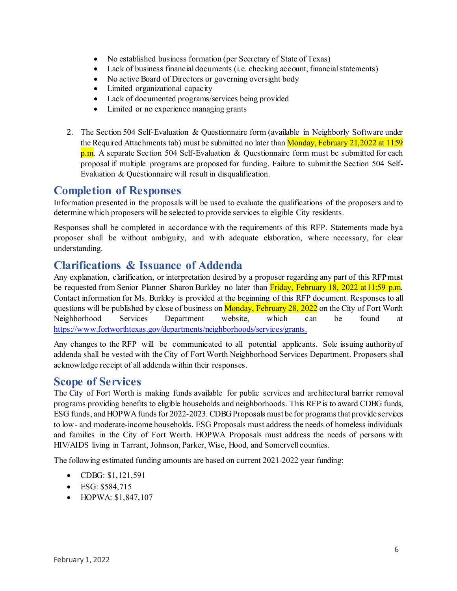- No established business formation (per Secretary of State of Texas)
- Lack of business financial documents (i.e. checking account, financial statements)
- No active Board of Directors or governing oversight body
- Limited organizational capacity
- Lack of documented programs/services being provided
- Limited or no experience managing grants
- 2. The Section 504 Self-Evaluation & Questionnaire form (available in Neighborly Software under the Required Attachments tab) must be submitted no later than  $Monday$ , February 21,2022 at 11:59 p.m. A separate Section 504 Self-Evaluation & Questionnaire form must be submitted for each proposal if multiple programs are proposed for funding. Failure to submit the Section 504 Self-Evaluation & Questionnaire will result in disqualification.

#### <span id="page-5-0"></span>**Completion of Responses**

Information presented in the proposals will be used to evaluate the qualifications of the proposers and to determine which proposers will be selected to provide services to eligible City residents.

Responses shall be completed in accordance with the requirements of this RFP. Statements made bya proposer shall be without ambiguity, and with adequate elaboration, where necessary, for clear understanding.

#### <span id="page-5-1"></span>**Clarifications & Issuance of Addenda**

Any explanation, clarification, or interpretation desired by a proposer regarding any part of this RFPmust be requested from Senior Planner Sharon Burkley no later than Friday, February 18, 2022 at 11:59 p.m. Contact information for Ms. Burkley is provided at the beginning of this RFP document. Responses to all questions will be published by close of business on Monday, February 28, 2022 on the City of Fort Worth Neighborhood Services Department website, which can be found at <https://www.fortworthtexas.gov/departments/neighborhoods/services/grants.>

Any changes to the RFP will be communicated to all potential applicants. Sole issuing authorityof addenda shall be vested with the City of Fort Worth Neighborhood Services Department. Proposers shall acknowledge receipt of all addenda within their responses.

#### <span id="page-5-2"></span>**Scope of Services**

The City of Fort Worth is making funds available for public services and architectural barrier removal programs providing benefits to eligible households and neighborhoods. This RFP is to award CDBG funds, ESG funds, and HOPWA funds for 2022-2023. CDBG Proposals must be for programs that provide services to low- and moderate-income households. ESG Proposals must address the needs of homeless individuals and families in the City of Fort Worth. HOPWA Proposals must address the needs of persons with HIV/AIDS living in Tarrant, Johnson, Parker, Wise, Hood, and Somervell counties.

The following estimated funding amounts are based on current 2021-2022 year funding:

- CDBG: \$1,121,591
- ESG: \$584,715
- HOPWA: \$1,847,107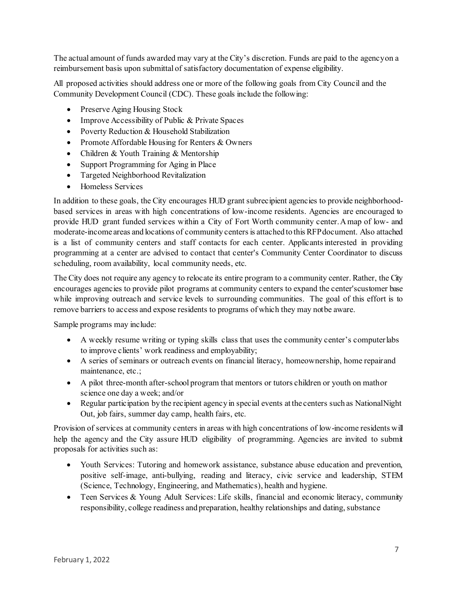The actual amount of funds awarded may vary at the City's discretion. Funds are paid to the agencyon a reimbursement basis upon submittal of satisfactory documentation of expense eligibility.

All proposed activities should address one or more of the following goals from City Council and the Community Development Council (CDC). These goals include the following:

- Preserve Aging Housing Stock
- Improve Accessibility of Public & Private Spaces
- Poverty Reduction & Household Stabilization
- Promote Affordable Housing for Renters & Owners
- Children & Youth Training & Mentorship
- Support Programming for Aging in Place
- Targeted Neighborhood Revitalization
- Homeless Services

In addition to these goals, the City encourages HUD grant subrecipient agencies to provide neighborhoodbased services in areas with high concentrations of low-income residents. Agencies are encouraged to provide HUD grant funded services within a City of Fort Worth community center.Amap of low- and moderate-income areas and locations of community centersis attached to this RFPdocument. Also attached is a list of community centers and staff contacts for each center. Applicants interested in providing programming at a center are advised to contact that center's Community Center Coordinator to discuss scheduling, room availability, local community needs, etc.

The City does not require any agency to relocate its entire program to a community center. Rather, the City encourages agencies to provide pilot programs at community centers to expand the center'scustomer base while improving outreach and service levels to surrounding communities. The goal of this effort is to remove barriers to access and expose residents to programs of which they may notbe aware.

Sample programs may include:

- A weekly resume writing or typing skills class that uses the community center's computerlabs to improve clients' work readiness and employability;
- A series of seminars or outreach events on financial literacy, homeownership, home repairand maintenance, etc.;
- A pilot three-month after-school program that mentors or tutors children or youth on mathor science one day a week; and/or
- Regular participation by the recipient agency in special events at the centers such as NationalNight Out, job fairs, summer day camp, health fairs, etc.

Provision of services at community centers in areas with high concentrations of low-income residents will help the agency and the City assure HUD eligibility of programming. Agencies are invited to submit proposals for activities such as:

- Youth Services: Tutoring and homework assistance, substance abuse education and prevention, positive self-image, anti-bullying, reading and literacy, civic service and leadership, STEM (Science, Technology, Engineering, and Mathematics), health and hygiene.
- Teen Services & Young Adult Services: Life skills, financial and economic literacy, community responsibility, college readiness and preparation, healthy relationships and dating, substance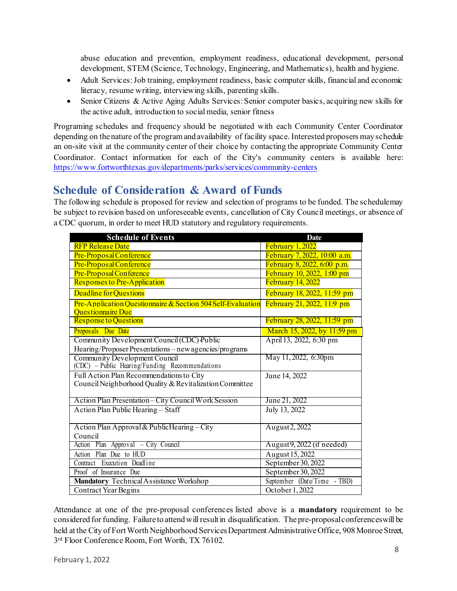abuse education and prevention, employment readiness, educational development, personal development, STEM (Science, Technology, Engineering, and Mathematics), health and hygiene.

- Adult Services:Job training, employment readiness, basic computer skills, financial and economic literacy, resume writing, interviewing skills, parenting skills.
- Senior Citizens & Active Aging Adults Services: Senior computer basics, acquiring new skills for the active adult, introduction to socialmedia, senior fitness

Programing schedules and frequency should be negotiated with each Community Center Coordinator depending on the nature of the program and availability of facility space. Interested proposers may schedule an on-site visit at the community center of their choice by contacting the appropriate Community Center Coordinator. Contact information for each of the City's community centers is available here: <https://www.fortworthtexas.gov/departments/parks/services/community-centers>

## <span id="page-7-0"></span>**Schedule of Consideration & Award of Funds**

The following schedule is proposed for review and selection of programs to be funded. The schedulemay be subject to revision based on unforeseeable events, cancellation of City Council meetings, or absence of a CDC quorum, in order to meet HUD statutory and regulatory requirements.

| <b>Schedule of Events</b>                                   | <b>Date</b>                  |
|-------------------------------------------------------------|------------------------------|
| <b>RFP Release Date</b>                                     | February 1, 2022             |
| Pre-Proposal Conference                                     | February 7, 2022, 10:00 a.m. |
| Pre-Proposal Conference                                     | February 8, 2022, 6:00 p.m.  |
| Pre-Proposal Conference                                     | February 10, 2022, 1:00 pm   |
| Responses to Pre-Application                                | <b>February 14, 2022</b>     |
| Deadline for Questions                                      | February 18, 2022, 11:59 pm  |
| Pre-Application Questionnaire & Section 504 Self-Evaluation | February 21, 2022, 11:9 pm   |
| <b>Ouestionnaire Due</b>                                    |                              |
| <b>Response to Questions</b>                                | February 28, 2022, 11:59 pm  |
| Proposals Due Date                                          | March 15, 2022, by 11:59 pm  |
| Community Development Council (CDC) Public                  | April 13, 2022, 6:30 pm      |
| Hearing/Proposer Presentations - new agencies/programs      |                              |
| Community Development Council                               | May 11, 2022, 6:30pm         |
| (CDC) - Public Hearing/Funding Recommendations              |                              |
| Full Action Plan Recommendations to City                    | June 14, 2022                |
| Council Neighborhood Quality & Revitalization Committee     |                              |
| Action Plan Presentation - City Council Work Session        | June 21, 2022                |
| Action Plan Public Hearing - Staff                          |                              |
|                                                             | July 13, 2022                |
| Action Plan Approval & PublicHearing-City                   | August 2, 2022               |
| Council                                                     |                              |
| Action Plan Approval - City Council                         | August 9, 2022 (if needed)   |
| Action Plan Due to HUD                                      | August 15, 2022              |
| Contract Execution Deadline                                 | September 30, 2022           |
| Proof of Insurance Due                                      | September 30, 2022           |
| Mandatory Technical Assistance Workshop                     | September (Date/Time - TBD)  |
| Contract Year Begins                                        | October 1, 2022              |

Attendance at one of the pre-proposal conferences listed above is a **mandatory** requirement to be considered for funding. Failure to attend will result in disqualification. The pre-proposal conferences will be held at the City of Fort Worth Neighborhood Services Department Administrative Office, 908 Monroe Street, 3<sup>rd</sup> Floor Conference Room, Fort Worth, TX 76102.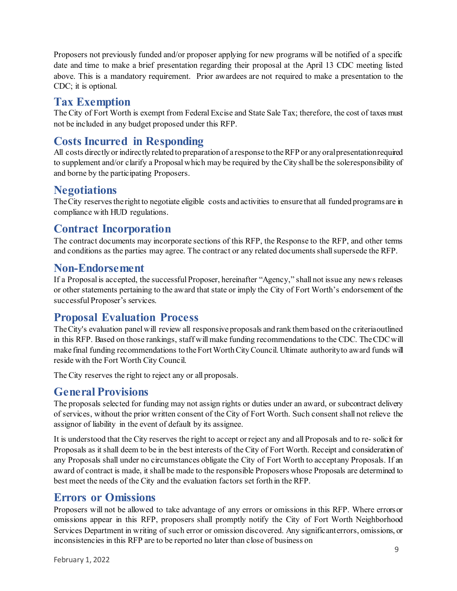Proposers not previously funded and/or proposer applying for new programs will be notified of a specific date and time to make a brief presentation regarding their proposal at the April 13 CDC meeting listed above. This is a mandatory requirement. Prior awardees are not required to make a presentation to the CDC; it is optional.

## <span id="page-8-0"></span>**Tax Exemption**

The City of Fort Worth is exempt from Federal Excise and State Sale Tax; therefore, the cost of taxes must not be included in any budget proposed under this RFP.

# <span id="page-8-1"></span>**Costs Incurred in Responding**

All costs directly or indirectly related to preparation of a response to theRFP or any oralpresentationrequired to supplement and/or clarify a Proposal which may be required by the City shall be the soleresponsibility of and borne by the participating Proposers.

### <span id="page-8-2"></span>**Negotiations**

TheCity reservesthe right to negotiate eligible costs and activities to ensure that all funded programsare in compliance with HUD regulations.

## <span id="page-8-3"></span>**Contract Incorporation**

The contract documents may incorporate sections of this RFP, the Response to the RFP, and other terms and conditions as the parties may agree. The contract or any related documents shall supersede the RFP.

#### <span id="page-8-4"></span>**Non-Endorsement**

If a Proposal is accepted, the successful Proposer, hereinafter "Agency," shall not issue any news releases or other statements pertaining to the award that state or imply the City of Fort Worth's endorsement of the successful Proposer's services.

### <span id="page-8-5"></span>**Proposal Evaluation Process**

The City's evaluation panel will review all responsive proposals and rank them based on the criteriaoutlined in this RFP. Based on those rankings, staff will make funding recommendations to the CDC. TheCDCwill make final funding recommendations to theFortWorthCityCouncil. Ultimate authorityto award funds will reside with the Fort Worth City Council.

The City reserves the right to reject any or all proposals.

#### <span id="page-8-6"></span>**General Provisions**

The proposals selected for funding may not assign rights or duties under an award, or subcontract delivery of services, without the prior written consent of the City of Fort Worth. Such consent shall not relieve the assignor of liability in the event of default by its assignee.

It is understood that the City reserves the right to accept or reject any and all Proposals and to re- solicit for Proposals as it shall deem to be in the best interests of the City of Fort Worth. Receipt and consideration of any Proposals shall under no circumstances obligate the City of Fort Worth to acceptany Proposals. If an award of contract is made, it shall be made to the responsible Proposers whose Proposals are determined to best meet the needs of the City and the evaluation factors set forth in the RFP.

### <span id="page-8-7"></span>**Errors or Omissions**

Proposers will not be allowed to take advantage of any errors or omissions in this RFP. Where errorsor omissions appear in this RFP, proposers shall promptly notify the City of Fort Worth Neighborhood Services Department in writing of such error or omission discovered. Any significanterrors, omissions, or inconsistencies in this RFP are to be reported no later than close of business on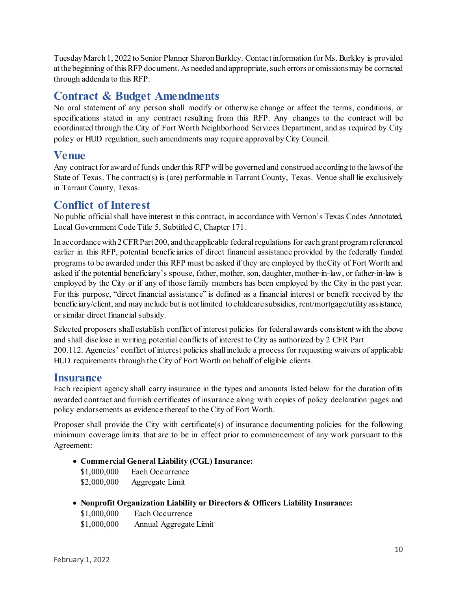TuesdayMarch 1, 2022 to Senior Planner Sharon Burkley. Contact information for Ms. Burkley is provided at the beginning of this RFP document. As needed and appropriate, such errors or omissions may be corrected through addenda to this RFP.

#### <span id="page-9-0"></span>**Contract & Budget Amendments**

No oral statement of any person shall modify or otherwise change or affect the terms, conditions, or specifications stated in any contract resulting from this RFP. Any changes to the contract will be coordinated through the City of Fort Worth Neighborhood Services Department, and as required by City policy or HUD regulation, such amendments may require approval by City Council.

#### <span id="page-9-1"></span>**Venue**

Any contract for award of funds under this RFP will be governed and construed according to the laws of the State of Texas. The contract(s) is (are) performable in Tarrant County, Texas. Venue shall lie exclusively in Tarrant County, Texas.

#### <span id="page-9-2"></span>**Conflict of Interest**

No public official shall have interest in this contract, in accordance with Vernon's Texas Codes Annotated, Local Government Code Title 5, Subtitled C, Chapter 171.

In accordance with 2 CFR Part 200, and the applicable federal regulations for each grant programreferenced earlier in this RFP, potential beneficiaries of direct financial assistance provided by the federally funded programs to be awarded under this RFP must be asked if they are employed by theCity of Fort Worth and asked if the potential beneficiary's spouse, father, mother, son, daughter, mother-in-law, or father-in-law is employed by the City or if any of those family members has been employed by the City in the past year. For this purpose, "direct financial assistance" is defined as a financial interest or benefit received by the beneficiary/client, and may include but is not limited to childcare subsidies, rent/mortgage/utility assistance, or similar direct financial subsidy.

Selected proposers shall establish conflict of interest policies for federal awards consistent with the above and shall disclose in writing potential conflicts of interest to City as authorized by 2 CFR Part 200.112. Agencies' conflict of interest policies shall include a process for requesting waivers of applicable HUD requirements through the City of Fort Worth on behalf of eligible clients.

#### <span id="page-9-3"></span>**Insurance**

Each recipient agency shall carry insurance in the types and amounts listed below for the duration ofits awarded contract and furnish certificates of insurance along with copies of policy declaration pages and policy endorsements as evidence thereof to the City of Fort Worth.

Proposer shall provide the City with certificate(s) of insurance documenting policies for the following minimum coverage limits that are to be in effect prior to commencement of any work pursuant to this Agreement:

• **Commercial General Liability (CGL) Insurance:**

| \$1,000,000 | Each Occurrence |
|-------------|-----------------|
| \$2,000,000 | Aggregate Limit |

• **Nonprofit Organization Liability or Directors & Officers Liability Insurance:**

| \$1,000,000 | Each Occurrence        |
|-------------|------------------------|
| \$1,000,000 | Annual Aggregate Limit |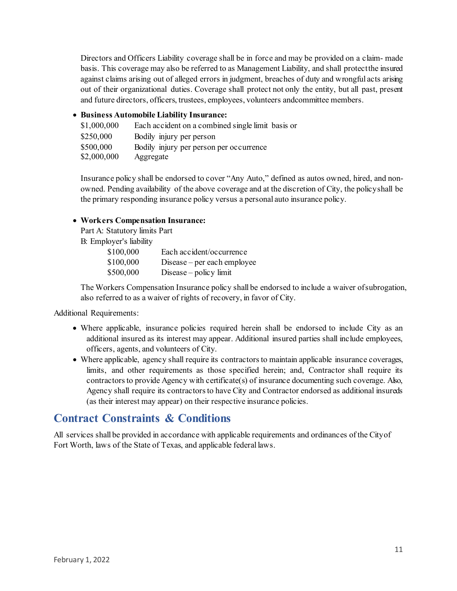Directors and Officers Liability coverage shall be in force and may be provided on a claim- made basis. This coverage may also be referred to as Management Liability, and shall protectthe insured against claims arising out of alleged errors in judgment, breaches of duty and wrongful acts arising out of their organizational duties. Coverage shall protect not only the entity, but all past, present and future directors, officers, trustees, employees, volunteers andcommittee members.

#### • **Business Automobile Liability Insurance:**

| \$1,000,000 | Each accident on a combined single limit basis or |
|-------------|---------------------------------------------------|
| \$250,000   | Bodily injury per person                          |
| \$500,000   | Bodily injury per person per occurrence           |
| \$2,000,000 | Aggregate                                         |

Insurance policy shall be endorsed to cover "Any Auto," defined as autos owned, hired, and nonowned. Pending availability of the above coverage and at the discretion of City, the policyshall be the primary responding insurance policy versus a personal auto insurance policy.

#### • **Workers Compensation Insurance:**

Part A: Statutory limits Part

B: Employer's liability

| \$100,000 | Each accident/occurrence    |
|-----------|-----------------------------|
| \$100,000 | Disease – per each employee |
| \$500,000 | Disease $-$ policy limit    |

The Workers Compensation Insurance policy shall be endorsed to include a waiver ofsubrogation, also referred to as a waiver of rights of recovery, in favor of City.

Additional Requirements:

- Where applicable, insurance policies required herein shall be endorsed to include City as an additional insured as its interest may appear. Additional insured parties shall include employees, officers, agents, and volunteers of City.
- Where applicable, agency shall require its contractors to maintain applicable insurance coverages, limits, and other requirements as those specified herein; and, Contractor shall require its contractors to provide Agency with certificate(s) of insurance documenting such coverage. Also, Agency shall require its contractors to have City and Contractor endorsed as additional insureds (as their interest may appear) on their respective insurance policies.

## <span id="page-10-0"></span>**Contract Constraints & Conditions**

All services shall be provided in accordance with applicable requirements and ordinances of the Cityof Fort Worth, laws of the State of Texas, and applicable federal laws.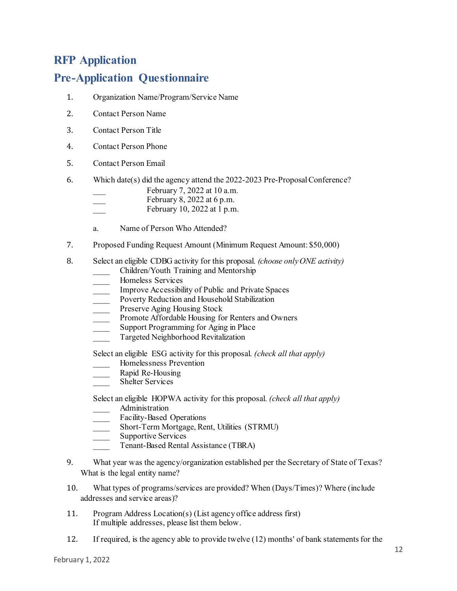## <span id="page-11-0"></span>**RFP Application**

### **Pre-Application Questionnaire**

- 1. Organization Name/Program/Service Name
- 2. Contact Person Name
- 3. Contact Person Title
- 4. Contact Person Phone
- 5. Contact Person Email
- 6. Which date(s) did the agency attend the 2022-2023 Pre-Proposal Conference?
	- February 7, 2022 at 10 a.m.
	- February 8, 2022 at 6 p.m.
	- February 10, 2022 at 1 p.m.
	- a. Name of Person Who Attended?
- 7. Proposed Funding Request Amount (Minimum Request Amount: \$50,000)
- 8. Select an eligible CDBG activity for this proposal. *(choose only ONE activity)*
	- \_\_\_\_ Children/Youth Training and Mentorship
	- \_\_\_\_ Homeless Services
	- Improve Accessibility of Public and Private Spaces
	- Poverty Reduction and Household Stabilization
	- Preserve Aging Housing Stock
	- Promote Affordable Housing for Renters and Owners
	- Support Programming for Aging in Place
	- Targeted Neighborhood Revitalization

Select an eligible ESG activity for this proposal. *(check all that apply)*

- \_\_\_\_ Homelessness Prevention
- Rapid Re-Housing
- Shelter Services

Select an eligible HOPWA activity for this proposal. *(check all that apply)*

- \_\_\_\_ Administration
- Facility-Based Operations
- Short-Term Mortgage, Rent, Utilities (STRMU)
- Supportive Services
	- Tenant-Based Rental Assistance (TBRA)
- 9. What year was the agency/organization established per the Secretary of State of Texas? What is the legal entity name?
- 10. What types of programs/services are provided? When (Days/Times)? Where (include addresses and service areas)?
- 11. Program Address Location(s) (List agency office address first) If multiple addresses, please list them below.
- 12. If required, is the agency able to provide twelve (12) months' of bank statements for the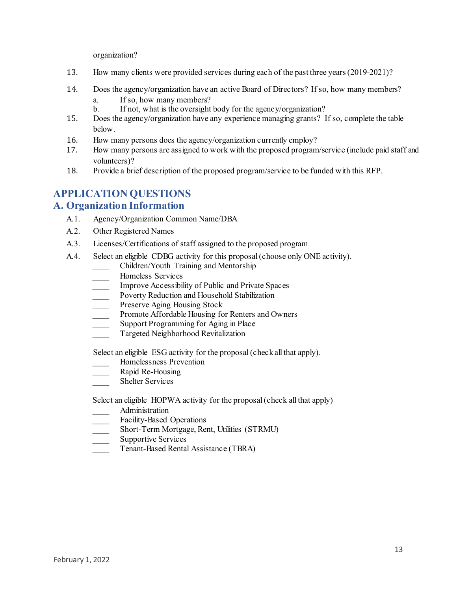organization?

- 13. How many clients were provided services during each of the past three years(2019-2021)?
- 14. Does the agency/organization have an active Board of Directors? If so, how many members?
	- a. If so, how many members?
	- b. If not, what is the oversight body for the agency/organization?
- 15. Does the agency/organization have any experience managing grants? If so, complete the table below.
- 16. How many persons does the agency/organization currently employ?<br>17. How many persons are assigned to work with the proposed program
- 17. How many persons are assigned to work with the proposed program/service (include paid staff and volunteers)?
- 18. Provide a brief description of the proposed program/service to be funded with this RFP.

# **APPLICATION QUESTIONS**

#### **A. Organization Information**

- A.1. Agency/Organization Common Name/DBA
- A.2. Other Registered Names
- A.3. Licenses/Certifications of staff assigned to the proposed program
- A.4. Select an eligible CDBG activity for this proposal(choose only ONE activity).
	- \_\_\_\_ Children/Youth Training and Mentorship
	- \_\_\_\_ Homeless Services
	- Improve Accessibility of Public and Private Spaces
	- Poverty Reduction and Household Stabilization
	- Preserve Aging Housing Stock
	- Promote Affordable Housing for Renters and Owners
	- **EXECUTE:** Support Programming for Aging in Place
	- \_\_\_\_ Targeted Neighborhood Revitalization

Select an eligible ESG activity for the proposal (check all that apply).

- \_\_\_\_ Homelessness Prevention
- Rapid Re-Housing
- Shelter Services

Select an eligible HOPWA activity for the proposal (check all that apply)

- \_\_\_\_ Administration
- Facility-Based Operations
- \_\_\_\_ Short-Term Mortgage, Rent, Utilities (STRMU)
- Supportive Services
- Tenant-Based Rental Assistance (TBRA)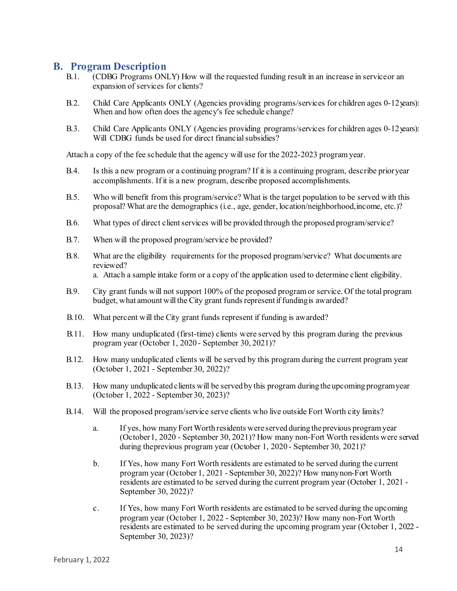#### **B. Program Description**

- B.1. (CDBG Programs ONLY) How will the requested funding result in an increase in serviceor an expansion of services for clients?
- B.2. Child Care Applicants ONLY (Agencies providing programs/services for children ages 0-12years): When and how often does the agency's fee schedule change?
- B.3. Child Care Applicants ONLY (Agencies providing programs/services for children ages 0-12years): Will CDBG funds be used for direct financial subsidies?

Attach a copy of the fee schedule that the agency will use for the 2022-2023 program year.

- B.4. Is this a new program or a continuing program? If it is a continuing program, describe prioryear accomplishments. If it is a new program, describe proposed accomplishments.
- B.5. Who will benefit from this program/service? What is the target population to be served with this proposal? What are the demographics (i.e., age, gender, location/neighborhood,income, etc.)?
- B.6. What types of direct client services will be provided through the proposed program/service?
- B.7. When will the proposed program/service be provided?
- B.8. What are the eligibility requirements for the proposed program/service? What documents are reviewed? a. Attach a sample intake form or a copy of the application used to determine client eligibility.
- B.9. City grant funds will not support 100% of the proposed program or service. Of the total program budget, what amount will the City grant funds represent if funding is awarded?
- B.10. What percent will the City grant funds represent if funding is awarded?
- B.11. How many unduplicated (first-time) clients were served by this program during the previous program year (October 1, 2020 - September 30, 2021)?
- B.12. How many unduplicated clients will be served by this program during the current program year (October 1, 2021 - September 30, 2022)?
- B.13. How many unduplicated clients will be served by this program during the upcoming programyear (October 1, 2022 - September 30, 2023)?
- B.14. Will the proposed program/service serve clients who live outside Fort Worth city limits?
	- a. If yes, how many FortWorth residents were served during the previous programyear (October1, 2020 - September 30, 2021)? How many non-Fort Worth residents were served during theprevious program year (October 1, 2020 - September 30, 2021)?
	- b. If Yes, how many Fort Worth residents are estimated to be served during the current program year (October 1, 2021 - September 30, 2022)? How manynon-Fort Worth residents are estimated to be served during the current program year (October 1, 2021 - September 30, 2022)?
	- c. If Yes, how many Fort Worth residents are estimated to be served during the upcoming program year (October 1, 2022 - September 30, 2023)? How many non-Fort Worth residents are estimated to be served during the upcoming program year (October 1, 2022 - September 30, 2023)?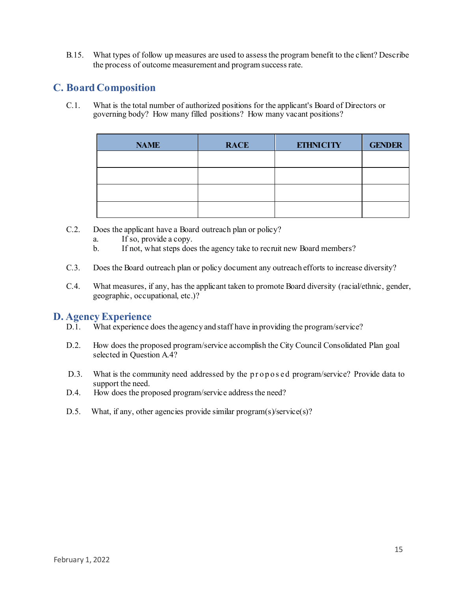B.15. What types of follow up measures are used to assess the program benefit to the client? Describe the process of outcome measurement and programsuccess rate.

#### **C. Board Composition**

C.1. What is the total number of authorized positions for the applicant's Board of Directors or governing body? How many filled positions? How many vacant positions?

| <b>NAME</b> | <b>RACE</b> | <b>ETHNICITY</b> | <b>GENDER</b> |
|-------------|-------------|------------------|---------------|
|             |             |                  |               |
|             |             |                  |               |
|             |             |                  |               |
|             |             |                  |               |

- C.2. Does the applicant have a Board outreach plan or policy?
	- a. If so, provide a copy.
	- b. If not, what steps does the agency take to recruit new Board members?
- C.3. Does the Board outreach plan or policy document any outreach efforts to increase diversity?
- C.4. What measures, if any, has the applicant taken to promote Board diversity (racial/ethnic, gender, geographic, occupational, etc.)?

#### **D. Agency Experience**

- D.1. What experience does the agency and staff have in providing the program/service?
- D.2. How does the proposed program/service accomplish the City Council Consolidated Plan goal selected in Question A.4?
- D.3. What is the community need addressed by the proposed program/service? Provide data to support the need.
- D.4. How does the proposed program/service address the need?
- D.5. What, if any, other agencies provide similar program(s)/service(s)?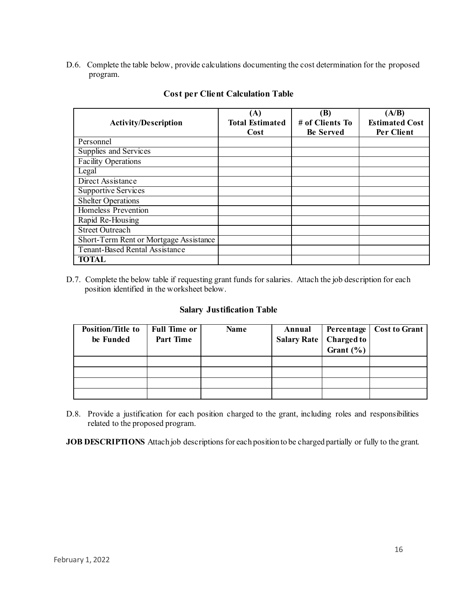D.6. Complete the table below, provide calculations documenting the cost determination for the proposed program.

| <b>Activity/Description</b>            | $({\bf A})$<br><b>Total Estimated</b> | (B)<br># of Clients To | (A/B)<br><b>Estimated Cost</b> |
|----------------------------------------|---------------------------------------|------------------------|--------------------------------|
|                                        | Cost                                  | <b>Be Served</b>       | Per Client                     |
| Personnel                              |                                       |                        |                                |
| Supplies and Services                  |                                       |                        |                                |
| <b>Facility Operations</b>             |                                       |                        |                                |
| Legal                                  |                                       |                        |                                |
| Direct Assistance                      |                                       |                        |                                |
| <b>Supportive Services</b>             |                                       |                        |                                |
| <b>Shelter Operations</b>              |                                       |                        |                                |
| Homeless Prevention                    |                                       |                        |                                |
| Rapid Re-Housing                       |                                       |                        |                                |
| <b>Street Outreach</b>                 |                                       |                        |                                |
| Short-Term Rent or Mortgage Assistance |                                       |                        |                                |
| <b>Tenant-Based Rental Assistance</b>  |                                       |                        |                                |
| <b>TOTAL</b>                           |                                       |                        |                                |

#### **Cost per Client Calculation Table**

D.7. Complete the below table if requesting grant funds for salaries. Attach the job description for each position identified in the worksheet below.

#### **Salary Justification Table**

| <b>Position/Title to</b><br>be Funded | <b>Full Time or</b><br>Part Time | <b>Name</b> | Annual | Salary Rate   Charged to<br>Grant $(\% )$ | Percentage   Cost to Grant |
|---------------------------------------|----------------------------------|-------------|--------|-------------------------------------------|----------------------------|
|                                       |                                  |             |        |                                           |                            |
|                                       |                                  |             |        |                                           |                            |
|                                       |                                  |             |        |                                           |                            |
|                                       |                                  |             |        |                                           |                            |

D.8. Provide a justification for each position charged to the grant, including roles and responsibilities related to the proposed program.

**JOB DESCRIPTIONS** Attach job descriptions for each position to be charged partially or fully to the grant.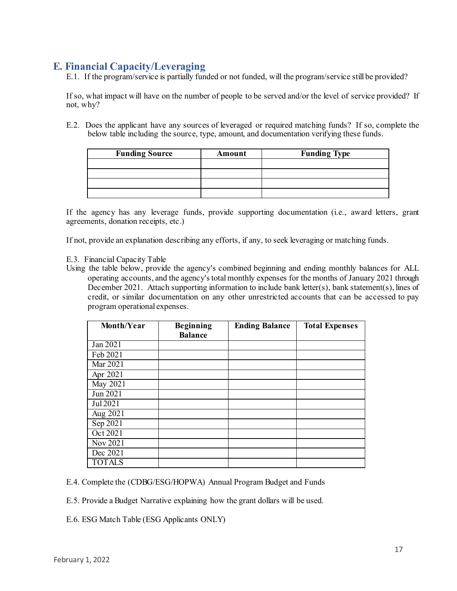#### **E. Financial Capacity/Leveraging**

E.1. If the program/service is partially funded or not funded, will the program/service still be provided?

If so, what impact will have on the number of people to be served and/or the level of service provided? If not, why?

E.2. Does the applicant have any sources of leveraged or required matching funds? If so, complete the below table including the source, type, amount, and documentation verifying these funds.

| <b>Funding Source</b> | Amount | <b>Funding Type</b> |
|-----------------------|--------|---------------------|
|                       |        |                     |
|                       |        |                     |
|                       |        |                     |
|                       |        |                     |

If the agency has any leverage funds, provide supporting documentation (i.e., award letters, grant agreements, donation receipts, etc.)

If not, provide an explanation describing any efforts, if any, to seek leveraging or matching funds.

- E.3. Financial Capacity Table
- Using the table below, provide the agency's combined beginning and ending monthly balances for ALL operating accounts, and the agency's total monthly expenses for the months of January 2021 through December 2021. Attach supporting information to include bank letter(s), bank statement(s), lines of credit, or similar documentation on any other unrestricted accounts that can be accessed to pay program operational expenses.

| Month/Year    | <b>Beginning</b><br><b>Balance</b> | <b>Ending Balance</b> | <b>Total Expenses</b> |
|---------------|------------------------------------|-----------------------|-----------------------|
|               |                                    |                       |                       |
| Jan 2021      |                                    |                       |                       |
| Feb 2021      |                                    |                       |                       |
| Mar 2021      |                                    |                       |                       |
| Apr 2021      |                                    |                       |                       |
| May 2021      |                                    |                       |                       |
| Jun 2021      |                                    |                       |                       |
| Jul 2021      |                                    |                       |                       |
| Aug 2021      |                                    |                       |                       |
| Sep 2021      |                                    |                       |                       |
| Oct 2021      |                                    |                       |                       |
| Nov 2021      |                                    |                       |                       |
| Dec 2021      |                                    |                       |                       |
| <b>TOTALS</b> |                                    |                       |                       |

E.4. Complete the (CDBG/ESG/HOPWA) Annual Program Budget and Funds

E.5. Provide a Budget Narrative explaining how the grant dollars will be used.

E.6. ESG Match Table (ESG Applicants ONLY)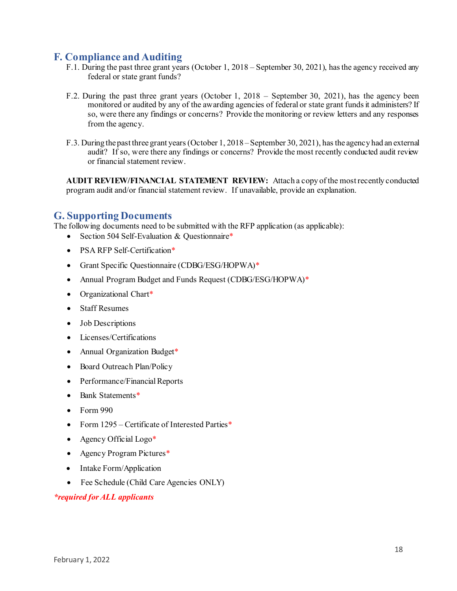#### **F. Compliance and Auditing**

- F.1. During the past three grant years (October 1, 2018 September 30, 2021), has the agency received any federal or state grant funds?
- F.2. During the past three grant years (October 1, 2018 September 30, 2021), has the agency been monitored or audited by any of the awarding agencies of federal or state grant funds it administers? If so, were there any findings or concerns? Provide the monitoring or review letters and any responses from the agency.
- F.3. During the past three grant years (October 1, 2018 September 30, 2021), has the agency had an external audit? If so, were there any findings or concerns? Provide the most recently conducted audit review or financial statement review.

**AUDIT REVIEW/FINANCIAL STATEMENT REVIEW:** Attach a copy of the most recently conducted program audit and/or financial statement review. If unavailable, provide an explanation.

#### **G. Supporting Documents**

The following documents need to be submitted with the RFP application (as applicable):

- Section 504 Self-Evaluation & Questionnaire\*
- PSA RFP Self-Certification\*
- Grant Specific Questionnaire (CDBG/ESG/HOPWA)\*
- Annual Program Budget and Funds Request (CDBG/ESG/HOPWA)\*
- Organizational Chart\*
- Staff Resumes
- Job Descriptions
- Licenses/Certifications
- Annual Organization Budget<sup>\*</sup>
- Board Outreach Plan/Policy
- Performance/Financial Reports
- Bank Statements\*
- $\bullet$  Form 990
- Form 1295 Certificate of Interested Parties\*
- Agency Official Logo\*
- Agency Program Pictures\*
- Intake Form/Application
- Fee Schedule (Child Care Agencies ONLY)

#### *\*required for ALL applicants*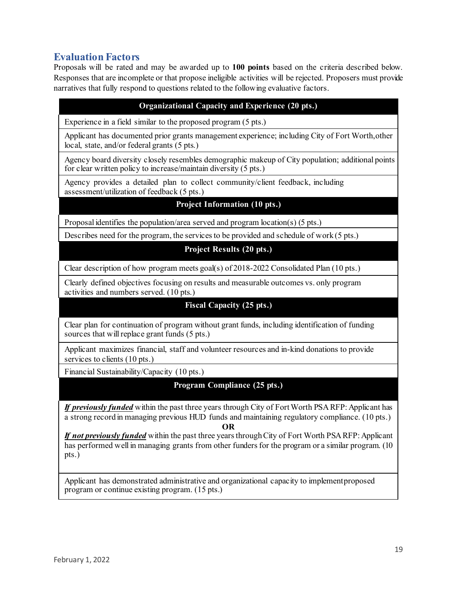#### **Evaluation Factors**

Proposals will be rated and may be awarded up to **100 points** based on the criteria described below. Responses that are incomplete or that propose ineligible activities will be rejected. Proposers must provide narratives that fully respond to questions related to the following evaluative factors.

| <b>Organizational Capacity and Experience (20 pts.)</b>                                                                                                                                                            |
|--------------------------------------------------------------------------------------------------------------------------------------------------------------------------------------------------------------------|
| Experience in a field similar to the proposed program (5 pts.)                                                                                                                                                     |
| Applicant has documented prior grants management experience; including City of Fort Worth, other<br>local, state, and/or federal grants (5 pts.)                                                                   |
| Agency board diversity closely resembles demographic makeup of City population; additional points<br>for clear written policy to increase/maintain diversity (5 pts.)                                              |
| Agency provides a detailed plan to collect community/client feedback, including<br>assessment/utilization of feedback (5 pts.)                                                                                     |
| <b>Project Information (10 pts.)</b>                                                                                                                                                                               |
| Proposal identifies the population/area served and program location(s) $(5 \text{ pts.})$                                                                                                                          |
| Describes need for the program, the services to be provided and schedule of work (5 pts.)                                                                                                                          |
| <b>Project Results (20 pts.)</b>                                                                                                                                                                                   |
| Clear description of how program meets goal(s) of $2018-2022$ Consolidated Plan (10 pts.)                                                                                                                          |
| Clearly defined objectives focusing on results and measurable outcomes vs. only program<br>activities and numbers served. (10 pts.)                                                                                |
| <b>Fiscal Capacity (25 pts.)</b>                                                                                                                                                                                   |
| Clear plan for continuation of program without grant funds, including identification of funding<br>sources that will replace grant funds (5 pts.)                                                                  |
| Applicant maximizes financial, staff and volunteer resources and in-kind donations to provide<br>services to clients (10 pts.)                                                                                     |
| Financial Sustainability/Capacity (10 pts.)                                                                                                                                                                        |
| Program Compliance (25 pts.)                                                                                                                                                                                       |
| If previously funded within the past three years through City of Fort Worth PSA RFP: Applicant has<br>a strong record in managing previous HUD funds and maintaining regulatory compliance. (10 pts.)<br><b>OR</b> |

*If not previously funded* within the past three years through City of Fort Worth PSA RFP: Applicant has performed well in managing grants from other funders for the program or a similar program. (10) pts.)

<span id="page-18-0"></span>Applicant has demonstrated administrative and organizational capacity to implementproposed program or continue existing program. (15 pts.)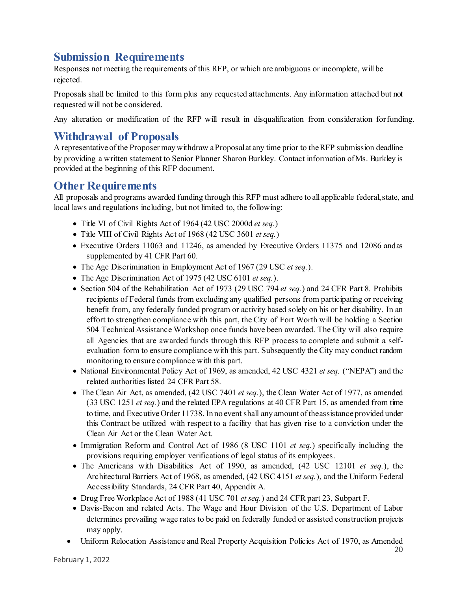## **Submission Requirements**

Responses not meeting the requirements of this RFP, or which are ambiguous or incomplete, will be rejected.

Proposals shall be limited to this form plus any requested attachments. Any information attached but not requested will not be considered.

Any alteration or modification of the RFP will result in disqualification from consideration forfunding.

### <span id="page-19-0"></span>**Withdrawal of Proposals**

A representative of the Proposer may withdraw a Proposal at any time prior to the RFP submission deadline by providing a written statement to Senior Planner Sharon Burkley. Contact information ofMs. Burkley is provided at the beginning of this RFP document.

#### <span id="page-19-1"></span>**Other Requirements**

All proposals and programs awarded funding through this RFP must adhere to all applicable federal, state, and local laws and regulations including, but not limited to, the following:

- Title VI of Civil Rights Act of 1964 (42 USC 2000d *et seq.*)
- Title VIII of Civil Rights Act of 1968 (42 USC 3601 *et seq.*)
- Executive Orders 11063 and 11246, as amended by Executive Orders 11375 and 12086 andas supplemented by 41 CFR Part 60.
- The Age Discrimination in Employment Act of 1967 (29 USC *et seq.*).
- The Age Discrimination Act of 1975 (42 USC 6101 *et seq.*).
- Section 504 of the Rehabilitation Act of 1973 (29 USC 794 *et seq.*) and 24 CFR Part 8. Prohibits recipients of Federal funds from excluding any qualified persons from participating or receiving benefit from, any federally funded program or activity based solely on his or her disability. In an effort to strengthen compliance with this part, the City of Fort Worth will be holding a Section 504 Technical Assistance Workshop once funds have been awarded. The City will also require all Agencies that are awarded funds through this RFP process to complete and submit a selfevaluation form to ensure compliance with this part. Subsequently the City may conduct random monitoring to ensure compliance with this part.
- National Environmental Policy Act of 1969, as amended, 42 USC 4321 *et seq.* ("NEPA") and the related authorities listed 24 CFR Part 58.
- The Clean Air Act, as amended, (42 USC 7401 *et seq.*), the Clean Water Act of 1977, as amended (33 USC 1251 *et seq.*) and the related EPA regulations at 40 CFR Part 15, as amended from time to time, and Executive Order 11738. In no event shall any amount of theassistance provided under this Contract be utilized with respect to a facility that has given rise to a conviction under the Clean Air Act or the Clean Water Act.
- Immigration Reform and Control Act of 1986 (8 USC 1101 *et seq.*) specifically including the provisions requiring employer verifications of legal status of its employees.
- The Americans with Disabilities Act of 1990, as amended, (42 USC 12101 *et seq.*), the Architectural Barriers Act of 1968, as amended, (42 USC 4151 *et seq.*), and the Uniform Federal Accessibility Standards, 24 CFR Part 40, Appendix A.
- Drug Free Workplace Act of 1988 (41 USC 701 *et seq.*) and 24 CFR part 23, Subpart F.
- Davis-Bacon and related Acts. The Wage and Hour Division of the U.S. Department of Labor determines prevailing wage rates to be paid on federally funded or assisted construction projects may apply.
- Uniform Relocation Assistance and Real Property Acquisition Policies Act of 1970, as Amended